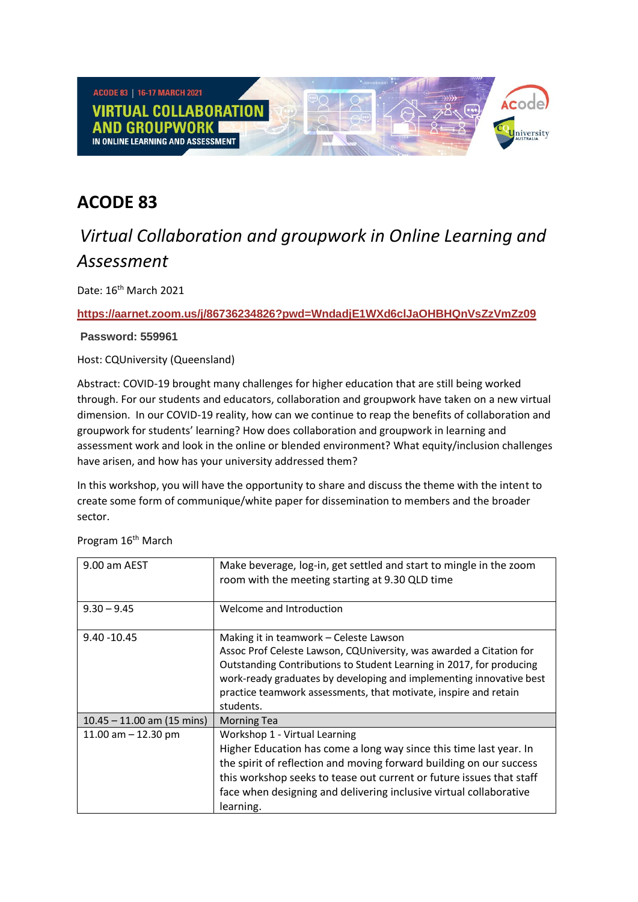

## **ACODE 83**

## *Virtual Collaboration and groupwork in Online Learning and Assessment*

Date: 16th March 2021

## **<https://aarnet.zoom.us/j/86736234826?pwd=WndadjE1WXd6clJaOHBHQnVsZzVmZz09>**

**Password: 559961**

Host: CQUniversity (Queensland)

Abstract: COVID-19 brought many challenges for higher education that are still being worked through. For our students and educators, collaboration and groupwork have taken on a new virtual dimension. In our COVID-19 reality, how can we continue to reap the benefits of collaboration and groupwork for students' learning? How does collaboration and groupwork in learning and assessment work and look in the online or blended environment? What equity/inclusion challenges have arisen, and how has your university addressed them?

In this workshop, you will have the opportunity to share and discuss the theme with the intent to create some form of communique/white paper for dissemination to members and the broader sector.

Program 16<sup>th</sup> March

| 9.00 am AEST                 | Make beverage, log-in, get settled and start to mingle in the zoom<br>room with the meeting starting at 9.30 QLD time                                                                                                                                                                                                                         |
|------------------------------|-----------------------------------------------------------------------------------------------------------------------------------------------------------------------------------------------------------------------------------------------------------------------------------------------------------------------------------------------|
| $9.30 - 9.45$                | Welcome and Introduction                                                                                                                                                                                                                                                                                                                      |
| $9.40 - 10.45$               | Making it in teamwork – Celeste Lawson<br>Assoc Prof Celeste Lawson, CQUniversity, was awarded a Citation for<br>Outstanding Contributions to Student Learning in 2017, for producing<br>work-ready graduates by developing and implementing innovative best<br>practice teamwork assessments, that motivate, inspire and retain<br>students. |
| $10.45 - 11.00$ am (15 mins) | <b>Morning Tea</b>                                                                                                                                                                                                                                                                                                                            |
| 11.00 am $-$ 12.30 pm        | Workshop 1 - Virtual Learning<br>Higher Education has come a long way since this time last year. In<br>the spirit of reflection and moving forward building on our success<br>this workshop seeks to tease out current or future issues that staff<br>face when designing and delivering inclusive virtual collaborative<br>learning.         |